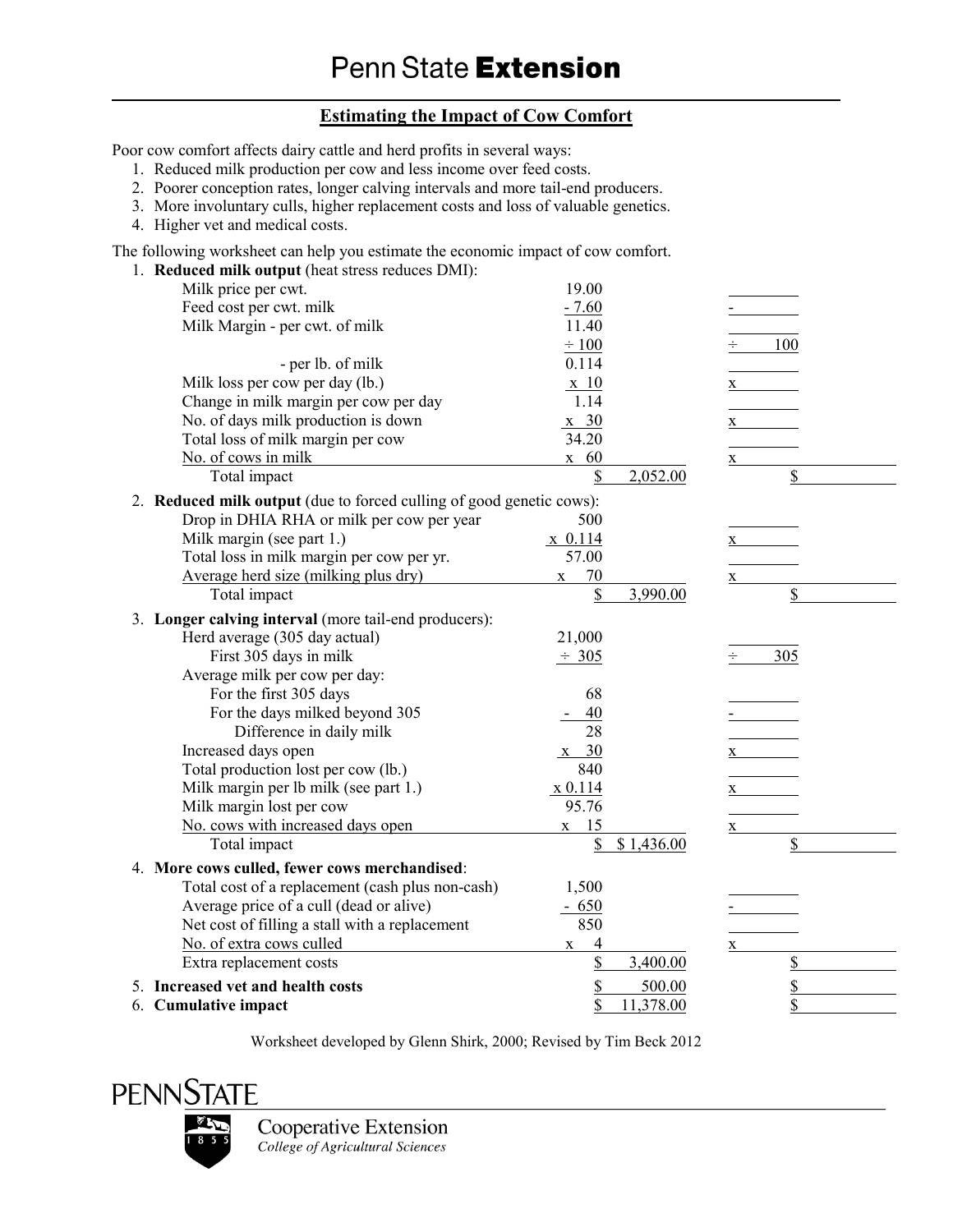## **Estimating the Impact of Cow Comfort**

Poor cow comfort affects dairy cattle and herd profits in several ways:

- 1. Reduced milk production per cow and less income over feed costs.
- 2. Poorer conception rates, longer calving intervals and more tail-end producers.
- 3. More involuntary culls, higher replacement costs and loss of valuable genetics.
- 4. Higher vet and medical costs.

The following worksheet can help you estimate the economic impact of cow comfort.<br>1. **Reduced milk output** (heat stress reduces DMI).

| 1. Reduced milk output (heat stress reduces DMI):                    |                    |                         |
|----------------------------------------------------------------------|--------------------|-------------------------|
| Milk price per cwt.                                                  | 19.00              |                         |
| Feed cost per cwt. milk                                              | $-7.60$            |                         |
| Milk Margin - per cwt. of milk                                       | 11.40              |                         |
|                                                                      | $\div 100$         | 100                     |
| - per lb. of milk                                                    | 0.114              |                         |
| Milk loss per cow per day (lb.)                                      | $\mathbf{x}$ 10    | $\mathbf X$             |
| Change in milk margin per cow per day                                | 1.14               |                         |
| No. of days milk production is down                                  | $x \quad 30$       | $\mathbf{X}$            |
| Total loss of milk margin per cow                                    | 34.20              |                         |
| No. of cows in milk                                                  | $x \quad 60$       | X                       |
| Total impact                                                         | \$<br>2,052.00     | \$                      |
| 2. Reduced milk output (due to forced culling of good genetic cows): |                    |                         |
| Drop in DHIA RHA or milk per cow per year                            | 500                |                         |
| Milk margin (see part 1.)                                            | $x$ 0.114          | $\mathbf{X}$            |
| Total loss in milk margin per cow per yr.                            | 57.00              |                         |
| Average herd size (milking plus dry)                                 | 70<br>$\mathbf X$  | X                       |
| Total impact                                                         | \$<br>3,990.00     | \$                      |
| 3. Longer calving interval (more tail-end producers):                |                    |                         |
| Herd average (305 day actual)                                        | 21,000             |                         |
| First 305 days in milk                                               | $\div$ 305         | 305<br>÷                |
| Average milk per cow per day:                                        |                    |                         |
| For the first 305 days                                               | 68                 |                         |
| For the days milked beyond 305                                       | 40                 |                         |
| Difference in daily milk                                             | 28                 |                         |
| Increased days open                                                  | $x \quad 30$       | $\mathbf X$             |
| Total production lost per cow (lb.)                                  | 840                |                         |
| Milk margin per lb milk (see part 1.)                                | x 0.114            | $\mathbf{X}$            |
| Milk margin lost per cow                                             | 95.76              |                         |
| No. cows with increased days open                                    | 15<br>$\mathbf{X}$ | X                       |
| Total impact                                                         | \$1,436.00         | \$                      |
| 4. More cows culled, fewer cows merchandised:                        |                    |                         |
| Total cost of a replacement (cash plus non-cash)                     | 1,500              |                         |
| Average price of a cull (dead or alive)                              | $-650$             |                         |
| Net cost of filling a stall with a replacement                       | 850                |                         |
| No. of extra cows culled                                             | 4<br>$\mathbf X$   | X                       |
| Extra replacement costs                                              | \$<br>3,400.00     | $\overline{\mathbb{S}}$ |
| 5. Increased vet and health costs                                    | \$<br>500.00       | \$                      |
| 6. Cumulative impact                                                 | \$<br>11,378.00    | \$                      |

Worksheet developed by Glenn Shirk, 2000; Revised by Tim Beck 2012



**Cooperative Extension** College of Agricultural Sciences